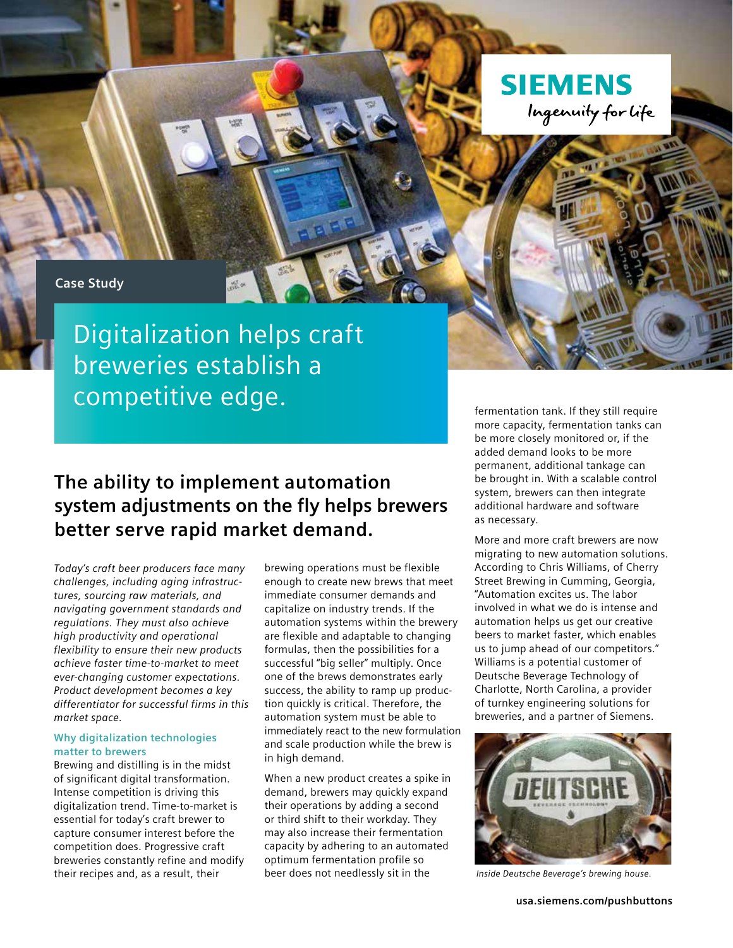

## **Case Study**

Digitalization helps craft breweries establish a competitive edge.

## **The ability to implement automation system adjustments on the fly helps brewers better serve rapid market demand.**

*Today's craft beer producers face many challenges, including aging infrastructures, sourcing raw materials, and navigating government standards and regulations. They must also achieve high productivity and operational flexibility to ensure their new products achieve faster time-to-market to meet ever-changing customer expectations. Product development becomes a key differentiator for successful firms in this market space.*

## **Why digitalization technologies matter to brewers**

Brewing and distilling is in the midst of significant digital transformation. Intense competition is driving this digitalization trend. Time-to-market is essential for today's craft brewer to capture consumer interest before the competition does. Progressive craft breweries constantly refine and modify their recipes and, as a result, their

brewing operations must be flexible enough to create new brews that meet immediate consumer demands and capitalize on industry trends. If the automation systems within the brewery are flexible and adaptable to changing formulas, then the possibilities for a successful "big seller" multiply. Once one of the brews demonstrates early success, the ability to ramp up production quickly is critical. Therefore, the automation system must be able to immediately react to the new formulation and scale production while the brew is in high demand.

When a new product creates a spike in demand, brewers may quickly expand their operations by adding a second or third shift to their workday. They may also increase their fermentation capacity by adhering to an automated optimum fermentation profile so beer does not needlessly sit in the

fermentation tank. If they still require more capacity, fermentation tanks can be more closely monitored or, if the added demand looks to be more permanent, additional tankage can be brought in. With a scalable control system, brewers can then integrate additional hardware and software as necessary.

More and more craft brewers are now migrating to new automation solutions. According to Chris Williams, of Cherry Street Brewing in Cumming, Georgia, "Automation excites us. The labor involved in what we do is intense and automation helps us get our creative beers to market faster, which enables us to jump ahead of our competitors." Williams is a potential customer of Deutsche Beverage Technology of Charlotte, North Carolina, a provider of turnkey engineering solutions for breweries, and a partner of Siemens.



 *Inside Deutsche Beverage's brewing house.*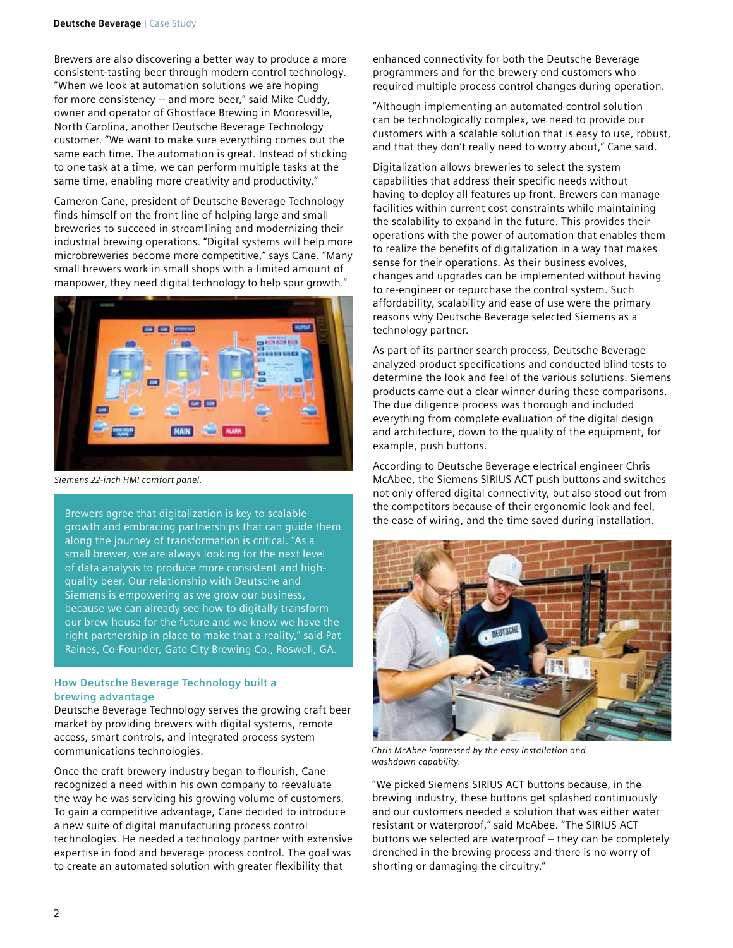Brewers are also discovering a better way to produce a more consistent-tasting beer through modern control technology. "When we look at automation solutions we are hoping for more consistency -- and more beer," said Mike Cuddy, owner and operator of Ghostface Brewing in Mooresville, North Carolina, another Deutsche Beverage Technology customer. "We want to make sure everything comes out the same each time. The automation is great. Instead of sticking to one task at a time, we can perform multiple tasks at the same time, enabling more creativity and productivity."

Cameron Cane, president of Deutsche Beverage Technology finds himself on the front line of helping large and small breweries to succeed in streamlining and modernizing their industrial brewing operations. "Digital systems will help more microbreweries become more competitive," says Cane. "Many small brewers work in small shops with a limited amount of manpower, they need digital technology to help spur growth."



*Siemens 22-inch HMI comfort panel.*

Brewers agree that digitalization is key to scalable growth and embracing partnerships that can guide them along the journey of transformation is critical. "As a small brewer, we are always looking for the next level of data analysis to produce more consistent and highquality beer. Our relationship with Deutsche and Siemens is empowering as we grow our business, because we can already see how to digitally transform our brew house for the future and we know we have the right partnership in place to make that a reality," said Pat Raines, Co-Founder, Gate City Brewing Co., Roswell, GA.

## **How Deutsche Beverage Technology built a brewing advantage**

Deutsche Beverage Technology serves the growing craft beer market by providing brewers with digital systems, remote access, smart controls, and integrated process system communications technologies.

Once the craft brewery industry began to flourish, Cane recognized a need within his own company to reevaluate the way he was servicing his growing volume of customers. To gain a competitive advantage, Cane decided to introduce a new suite of digital manufacturing process control technologies. He needed a technology partner with extensive expertise in food and beverage process control. The goal was to create an automated solution with greater flexibility that

enhanced connectivity for both the Deutsche Beverage programmers and for the brewery end customers who required multiple process control changes during operation.

"Although implementing an automated control solution can be technologically complex, we need to provide our customers with a scalable solution that is easy to use, robust, and that they don't really need to worry about," Cane said.

Digitalization allows breweries to select the system capabilities that address their specific needs without having to deploy all features up front. Brewers can manage facilities within current cost constraints while maintaining the scalability to expand in the future. This provides their operations with the power of automation that enables them to realize the benefits of digitalization in a way that makes sense for their operations. As their business evolves, changes and upgrades can be implemented without having to re-engineer or repurchase the control system. Such affordability, scalability and ease of use were the primary reasons why Deutsche Beverage selected Siemens as a technology partner.

As part of its partner search process, Deutsche Beverage analyzed product specifications and conducted blind tests to determine the look and feel of the various solutions. Siemens products came out a clear winner during these comparisons. The due diligence process was thorough and included everything from complete evaluation of the digital design and architecture, down to the quality of the equipment, for example, push buttons.

According to Deutsche Beverage electrical engineer Chris McAbee, the Siemens SIRIUS ACT push buttons and switches not only offered digital connectivity, but also stood out from the competitors because of their ergonomic look and feel, the ease of wiring, and the time saved during installation.



*Chris McAbee impressed by the easy installation and washdown capability.*

"We picked Siemens SIRIUS ACT buttons because, in the brewing industry, these buttons get splashed continuously and our customers needed a solution that was either water resistant or waterproof," said McAbee. "The SIRIUS ACT buttons we selected are waterproof – they can be completely drenched in the brewing process and there is no worry of shorting or damaging the circuitry."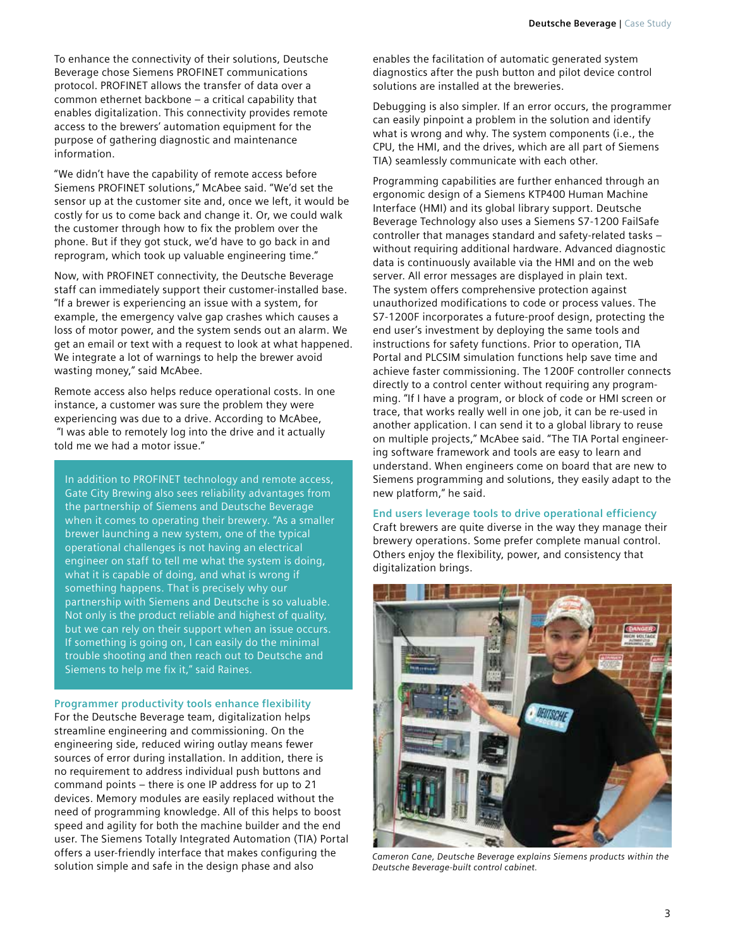To enhance the connectivity of their solutions, Deutsche Beverage chose Siemens PROFINET communications protocol. PROFINET allows the transfer of data over a common ethernet backbone – a critical capability that enables digitalization. This connectivity provides remote access to the brewers' automation equipment for the purpose of gathering diagnostic and maintenance information.

"We didn't have the capability of remote access before Siemens PROFINET solutions," McAbee said. "We'd set the sensor up at the customer site and, once we left, it would be costly for us to come back and change it. Or, we could walk the customer through how to fix the problem over the phone. But if they got stuck, we'd have to go back in and reprogram, which took up valuable engineering time."

Now, with PROFINET connectivity, the Deutsche Beverage staff can immediately support their customer-installed base. "If a brewer is experiencing an issue with a system, for example, the emergency valve gap crashes which causes a loss of motor power, and the system sends out an alarm. We get an email or text with a request to look at what happened. We integrate a lot of warnings to help the brewer avoid wasting money," said McAbee.

Remote access also helps reduce operational costs. In one instance, a customer was sure the problem they were experiencing was due to a drive. According to McAbee, "I was able to remotely log into the drive and it actually told me we had a motor issue."

In addition to PROFINET technology and remote access, Gate City Brewing also sees reliability advantages from the partnership of Siemens and Deutsche Beverage when it comes to operating their brewery. "As a smaller brewer launching a new system, one of the typical operational challenges is not having an electrical engineer on staff to tell me what the system is doing, what it is capable of doing, and what is wrong if something happens. That is precisely why our partnership with Siemens and Deutsche is so valuable. Not only is the product reliable and highest of quality, but we can rely on their support when an issue occurs. If something is going on, I can easily do the minimal trouble shooting and then reach out to Deutsche and Siemens to help me fix it," said Raines.

**Programmer productivity tools enhance flexibility** For the Deutsche Beverage team, digitalization helps streamline engineering and commissioning. On the engineering side, reduced wiring outlay means fewer sources of error during installation. In addition, there is no requirement to address individual push buttons and command points – there is one IP address for up to 21 devices. Memory modules are easily replaced without the need of programming knowledge. All of this helps to boost speed and agility for both the machine builder and the end user. The Siemens Totally Integrated Automation (TIA) Portal offers a user-friendly interface that makes configuring the solution simple and safe in the design phase and also

enables the facilitation of automatic generated system diagnostics after the push button and pilot device control solutions are installed at the breweries.

Debugging is also simpler. If an error occurs, the programmer can easily pinpoint a problem in the solution and identify what is wrong and why. The system components (i.e., the CPU, the HMI, and the drives, which are all part of Siemens TIA) seamlessly communicate with each other.

Programming capabilities are further enhanced through an ergonomic design of a Siemens KTP400 Human Machine Interface (HMI) and its global library support. Deutsche Beverage Technology also uses a Siemens S7-1200 FailSafe controller that manages standard and safety-related tasks – without requiring additional hardware. Advanced diagnostic data is continuously available via the HMI and on the web server. All error messages are displayed in plain text. The system offers comprehensive protection against unauthorized modifications to code or process values. The S7-1200F incorporates a future-proof design, protecting the end user's investment by deploying the same tools and instructions for safety functions. Prior to operation, TIA Portal and PLCSIM simulation functions help save time and achieve faster commissioning. The 1200F controller connects directly to a control center without requiring any programming. "If I have a program, or block of code or HMI screen or trace, that works really well in one job, it can be re-used in another application. I can send it to a global library to reuse on multiple projects," McAbee said. "The TIA Portal engineering software framework and tools are easy to learn and understand. When engineers come on board that are new to Siemens programming and solutions, they easily adapt to the new platform," he said.

**End users leverage tools to drive operational efficiency** Craft brewers are quite diverse in the way they manage their brewery operations. Some prefer complete manual control. Others enjoy the flexibility, power, and consistency that digitalization brings.



*Cameron Cane, Deutsche Beverage explains Siemens products within the Deutsche Beverage-built control cabinet.*